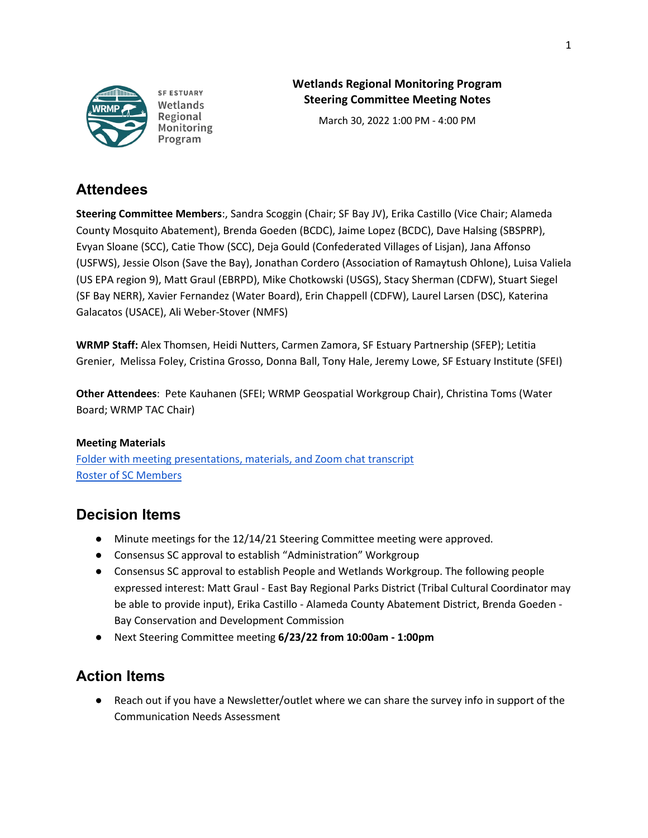

**SF ESTUARY** Wetlands Regional Monitoring Program

## **Wetlands Regional Monitoring Program Steering Committee Meeting Notes**

March 30, 2022 1:00 PM - 4:00 PM

## **Attendees**

**Steering Committee Members**:, Sandra Scoggin (Chair; SF Bay JV), Erika Castillo (Vice Chair; Alameda County Mosquito Abatement), Brenda Goeden (BCDC), Jaime Lopez (BCDC), Dave Halsing (SBSPRP), Evyan Sloane (SCC), Catie Thow (SCC), Deja Gould (Confederated Villages of Lisjan), Jana Affonso (USFWS), Jessie Olson (Save the Bay), Jonathan Cordero (Association of Ramaytush Ohlone), Luisa Valiela (US EPA region 9), Matt Graul (EBRPD), Mike Chotkowski (USGS), Stacy Sherman (CDFW), Stuart Siegel (SF Bay NERR), Xavier Fernandez (Water Board), Erin Chappell (CDFW), Laurel Larsen (DSC), Katerina Galacatos (USACE), Ali Weber-Stover (NMFS)

**WRMP Staff:** Alex Thomsen, Heidi Nutters, Carmen Zamora, SF Estuary Partnership (SFEP); Letitia Grenier, Melissa Foley, Cristina Grosso, Donna Ball, Tony Hale, Jeremy Lowe, SF Estuary Institute (SFEI)

**Other Attendees**: Pete Kauhanen (SFEI; WRMP Geospatial Workgroup Chair), Christina Toms (Water Board; WRMP TAC Chair)

## **Meeting Materials**

[Folder with meeting presentations, materials, and Zoom chat transcript](https://drive.google.com/drive/folders/1a70OG7XrtRT3Jb3lZSWD0n0r4poFeAjT?usp=sharing) [Roster of SC Members](https://docs.google.com/spreadsheets/d/1irwBf2FqK7Nqeww960DWi42-1E-OG4_bv6QH0k0WIGQ/edit?usp=sharing)

# **Decision Items**

- Minute meetings for the 12/14/21 Steering Committee meeting were approved.
- Consensus SC approval to establish "Administration" Workgroup
- Consensus SC approval to establish People and Wetlands Workgroup. The following people expressed interest: Matt Graul - East Bay Regional Parks District (Tribal Cultural Coordinator may be able to provide input), Erika Castillo - Alameda County Abatement District, Brenda Goeden - Bay Conservation and Development Commission
- Next Steering Committee meeting **6/23/22 from 10:00am 1:00pm**

# **Action Items**

● Reach out if you have a Newsletter/outlet where we can share the survey info in support of the Communication Needs Assessment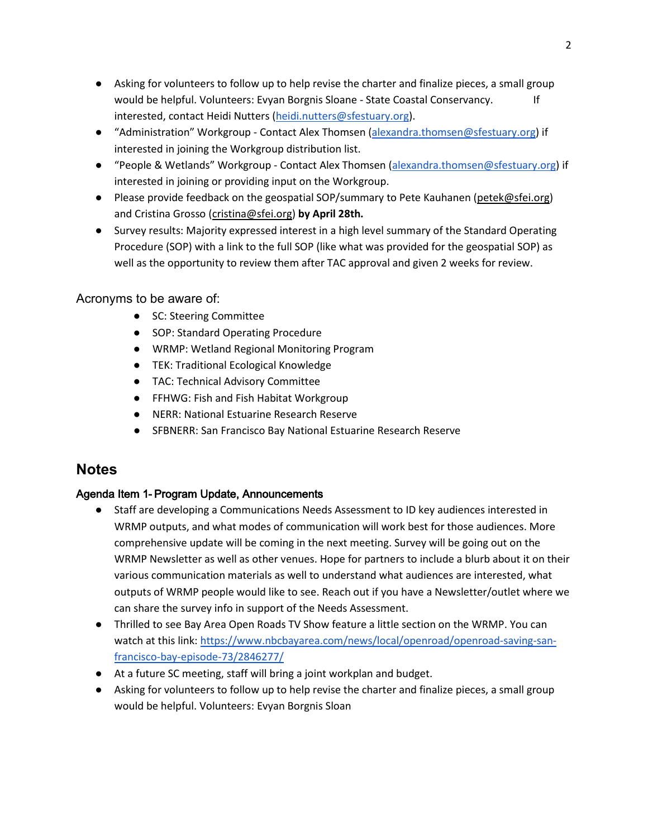- Asking for volunteers to follow up to help revise the charter and finalize pieces, a small group would be helpful. Volunteers: Evyan Borgnis Sloane - State Coastal Conservancy. If interested, contact Heidi Nutters [\(heidi.nutters@sfestuary.org\)](mailto:heidi.nutters@sfestuary.org).
- "Administration" Workgroup Contact Alex Thomsen [\(alexandra.thomsen@sfestuary.org\)](mailto:alexandra.thomsen@sfestuary.org) if interested in joining the Workgroup distribution list.
- "People & Wetlands" Workgroup Contact Alex Thomsen [\(alexandra.thomsen@sfestuary.org\)](mailto:alexandra.thomsen@sfestuary.org) if interested in joining or providing input on the Workgroup.
- Please provide feedback on the geospatial SOP/summary to Pete Kauhanen [\(petek@sfei.org\)](mailto:petek@sfei.org) and Cristina Grosso [\(cristina@sfei.org\)](mailto:cristina@sfei.org) **by April 28th.**
- Survey results: Majority expressed interest in a high level summary of the Standard Operating Procedure (SOP) with a link to the full SOP (like what was provided for the geospatial SOP) as well as the opportunity to review them after TAC approval and given 2 weeks for review.

## Acronyms to be aware of:

- SC: Steering Committee
- SOP: Standard Operating Procedure
- WRMP: Wetland Regional Monitoring Program
- TEK: Traditional Ecological Knowledge
- TAC: Technical Advisory Committee
- FFHWG: Fish and Fish Habitat Workgroup
- NERR: National Estuarine Research Reserve
- SFBNERR: San Francisco Bay National Estuarine Research Reserve

## **Notes**

## Agenda Item 1- Program Update, Announcements

- Staff are developing a Communications Needs Assessment to ID key audiences interested in WRMP outputs, and what modes of communication will work best for those audiences. More comprehensive update will be coming in the next meeting. Survey will be going out on the WRMP Newsletter as well as other venues. Hope for partners to include a blurb about it on their various communication materials as well to understand what audiences are interested, what outputs of WRMP people would like to see. Reach out if you have a Newsletter/outlet where we can share the survey info in support of the Needs Assessment.
- Thrilled to see Bay Area Open Roads TV Show feature a little section on the WRMP. You can watch at this link: [https://www.nbcbayarea.com/news/local/openroad/openroad-saving-san](https://www.nbcbayarea.com/news/local/openroad/openroad-saving-san-francisco-bay-episode-73/2846277/)[francisco-bay-episode-73/2846277/](https://www.nbcbayarea.com/news/local/openroad/openroad-saving-san-francisco-bay-episode-73/2846277/)
- At a future SC meeting, staff will bring a joint workplan and budget.
- Asking for volunteers to follow up to help revise the charter and finalize pieces, a small group would be helpful. Volunteers: Evyan Borgnis Sloan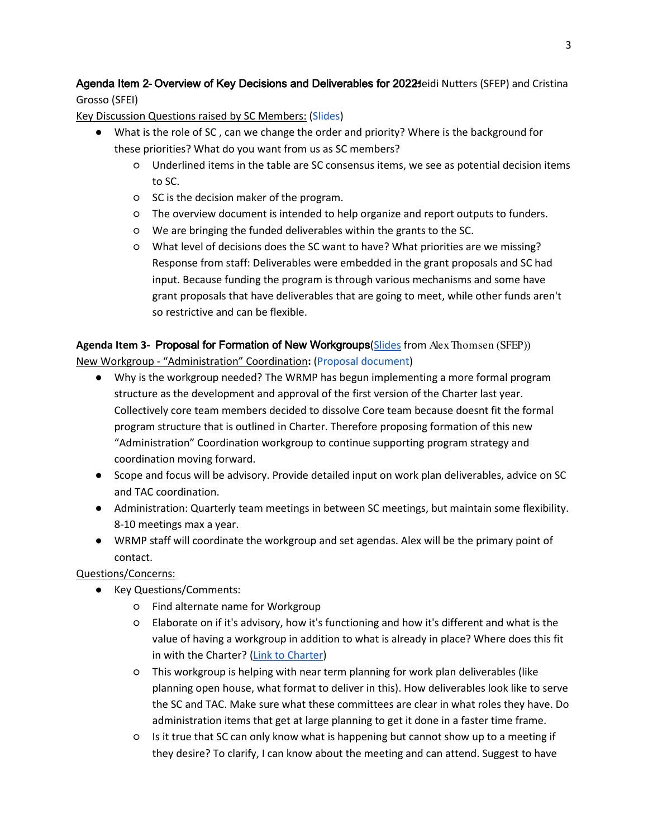### Agenda Item 2- Overview of Key Decisions and Deliverables for 2022 Heidi Nutters (SFEP) and Cristina Grosso (SFEI)

### Key Discussion Questions raised by SC Members: [\(Slides\)](https://nam10.safelinks.protection.outlook.com/?url=https%3A%2F%2Fdocs.google.com%2Fpresentation%2Fd%2F1hw9pXXCen4fr67RIQ_66AF8o4Kxk2SLLVxAezx8Ipbc%2Fedit%3Fusp%3Dsharing&data=04%7C01%7Ccarmen.zamora%40sfestuary.org%7C6d7ca4f3700d47bc050308da11ea23f2%7Cb084c4a0bb194142b70382ea65a5eeb2%7C0%7C0%7C637841996545915346%7CUnknown%7CTWFpbGZsb3d8eyJWIjoiMC4wLjAwMDAiLCJQIjoiV2luMzIiLCJBTiI6Ik1haWwiLCJXVCI6Mn0%3D%7C3000&sdata=Xr%2FMVSa%2BVzMXK%2BCirOLLZ78HxKlndQW7OtfIME5oK3c%3D&reserved=0)

- What is the role of SC, can we change the order and priority? Where is the background for these priorities? What do you want from us as SC members?
	- Underlined items in the table are SC consensus items, we see as potential decision items to SC.
	- SC is the decision maker of the program.
	- The overview document is intended to help organize and report outputs to funders.
	- We are bringing the funded deliverables within the grants to the SC.
	- What level of decisions does the SC want to have? What priorities are we missing? Response from staff: Deliverables were embedded in the grant proposals and SC had input. Because funding the program is through various mechanisms and some have grant proposals that have deliverables that are going to meet, while other funds aren't so restrictive and can be flexible.

## **Agenda Item 3-** Proposal for Formation of New Workgroups[\(Slides](https://nam10.safelinks.protection.outlook.com/?url=https%3A%2F%2Fdocs.google.com%2Fpresentation%2Fd%2F1QCNExoDpXHvTXRV6VdIS--HeQLhd8IoRUYWE-UDqdf8%2Fedit%3Fusp%3Dsharing&data=04%7C01%7Ccarmen.zamora%40sfestuary.org%7C6d7ca4f3700d47bc050308da11ea23f2%7Cb084c4a0bb194142b70382ea65a5eeb2%7C0%7C0%7C637841996545915346%7CUnknown%7CTWFpbGZsb3d8eyJWIjoiMC4wLjAwMDAiLCJQIjoiV2luMzIiLCJBTiI6Ik1haWwiLCJXVCI6Mn0%3D%7C3000&sdata=EQ2tjpzFPOM8dx38aj8fqiN6KU6OpwnH8jf6rUW8agQ%3D&reserved=0) from Alex Thomsen (SFEP))

New Workgroup - "Administration" Coordination**:** [\(Proposal document\)](https://nam10.safelinks.protection.outlook.com/?url=https%3A%2F%2Fdocs.google.com%2Fdocument%2Fd%2F1xooASvLFCMs16P8zvyMl07EXrW6o-gyl%2Fedit&data=04%7C01%7Ccarmen.zamora%40sfestuary.org%7C6d7ca4f3700d47bc050308da11ea23f2%7Cb084c4a0bb194142b70382ea65a5eeb2%7C0%7C0%7C637841996545915346%7CUnknown%7CTWFpbGZsb3d8eyJWIjoiMC4wLjAwMDAiLCJQIjoiV2luMzIiLCJBTiI6Ik1haWwiLCJXVCI6Mn0%3D%7C3000&sdata=H0jUAOL7cVfpbU0Hp3XfS8qHksBEAxATr46Vv2fmiWU%3D&reserved=0)

- Why is the workgroup needed? The WRMP has begun implementing a more formal program structure as the development and approval of the first version of the Charter last year. Collectively core team members decided to dissolve Core team because doesnt fit the formal program structure that is outlined in Charter. Therefore proposing formation of this new "Administration" Coordination workgroup to continue supporting program strategy and coordination moving forward.
- Scope and focus will be advisory. Provide detailed input on work plan deliverables, advice on SC and TAC coordination.
- Administration: Quarterly team meetings in between SC meetings, but maintain some flexibility. 8-10 meetings max a year.
- WRMP staff will coordinate the workgroup and set agendas. Alex will be the primary point of contact.

#### Questions/Concerns:

- Key Questions/Comments:
	- Find alternate name for Workgroup
	- Elaborate on if it's advisory, how it's functioning and how it's different and what is the value of having a workgroup in addition to what is already in place? Where does this fit in with the Charter? [\(Link to Charter\)](https://www.wrmp.org/wp-content/uploads/2021/06/WRMP_Charter_20210622.pdf.)
	- This workgroup is helping with near term planning for work plan deliverables (like planning open house, what format to deliver in this). How deliverables look like to serve the SC and TAC. Make sure what these committees are clear in what roles they have. Do administration items that get at large planning to get it done in a faster time frame.
	- Is it true that SC can only know what is happening but cannot show up to a meeting if they desire? To clarify, I can know about the meeting and can attend. Suggest to have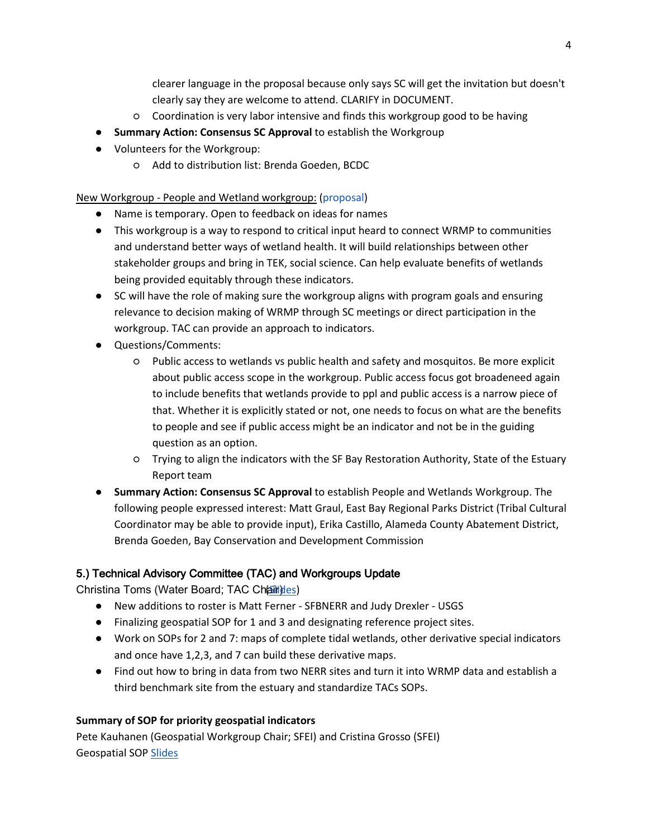clearer language in the proposal because only says SC will get the invitation but doesn't clearly say they are welcome to attend. CLARIFY in DOCUMENT.

- Coordination is very labor intensive and finds this workgroup good to be having
- **Summary Action: Consensus SC Approval** to establish the Workgroup
- Volunteers for the Workgroup:
	- Add to distribution list: Brenda Goeden, BCDC

New Workgroup - People and Wetland workgroup: [\(proposal\)](https://nam10.safelinks.protection.outlook.com/?url=https%3A%2F%2Fdocs.google.com%2Fdocument%2Fd%2F1qPlib-wgGPBCT7COLx0utNRURRe2b-R2%2Fedit%3Fusp%3Dsharing%26ouid%3D111250718617357731140%26rtpof%3Dtrue%26sd%3Dtrue&data=04%7C01%7Ccarmen.zamora%40sfestuary.org%7C6d7ca4f3700d47bc050308da11ea23f2%7Cb084c4a0bb194142b70382ea65a5eeb2%7C0%7C0%7C637841996545915346%7CUnknown%7CTWFpbGZsb3d8eyJWIjoiMC4wLjAwMDAiLCJQIjoiV2luMzIiLCJBTiI6Ik1haWwiLCJXVCI6Mn0%3D%7C3000&sdata=27m5WCr%2F6zavw1UXW8vG2GaQ%2Fwp8CKMVB9Aebz4F5JI%3D&reserved=0)

- Name is temporary. Open to feedback on ideas for names
- This workgroup is a way to respond to critical input heard to connect WRMP to communities and understand better ways of wetland health. It will build relationships between other stakeholder groups and bring in TEK, social science. Can help evaluate benefits of wetlands being provided equitably through these indicators.
- SC will have the role of making sure the workgroup aligns with program goals and ensuring relevance to decision making of WRMP through SC meetings or direct participation in the workgroup. TAC can provide an approach to indicators.
- Questions/Comments:
	- Public access to wetlands vs public health and safety and mosquitos. Be more explicit about public access scope in the workgroup. Public access focus got broadeneed again to include benefits that wetlands provide to ppl and public access is a narrow piece of that. Whether it is explicitly stated or not, one needs to focus on what are the benefits to people and see if public access might be an indicator and not be in the guiding question as an option.
	- Trying to align the indicators with the SF Bay Restoration Authority, State of the Estuary Report team
- **Summary Action: Consensus SC Approval** to establish People and Wetlands Workgroup. The following people expressed interest: Matt Graul, East Bay Regional Parks District (Tribal Cultural Coordinator may be able to provide input), Erika Castillo, Alameda County Abatement District, Brenda Goeden, Bay Conservation and Development Commission

## 5.) Technical Advisory Committee (TAC) and Workgroups Update

Christina Toms (Water Board; TAC Chairides)

- New additions to roster is Matt Ferner SFBNERR and Judy Drexler USGS
- Finalizing geospatial SOP for 1 and 3 and designating reference project sites.
- Work on SOPs for 2 and 7: maps of complete tidal wetlands, other derivative special indicators and once have 1,2,3, and 7 can build these derivative maps.
- Find out how to bring in data from two NERR sites and turn it into WRMP data and establish a third benchmark site from the estuary and standardize TACs SOPs.

#### **Summary of SOP for priority geospatial indicators**

Pete Kauhanen (Geospatial Workgroup Chair; SFEI) and Cristina Grosso (SFEI) Geospatial SO[P Slides](https://nam10.safelinks.protection.outlook.com/?url=https%3A%2F%2Fdocs.google.com%2Fpresentation%2Fd%2F1KCBkxQREB_dXaMrFAbu0TPXl1sTfYULp%2Fedit%3Fusp%3Dsharing%26ouid%3D116468166695144258716%26rtpof%3Dtrue%26sd%3Dtrue&data=04%7C01%7Ccarmen.zamora%40sfestuary.org%7C6d7ca4f3700d47bc050308da11ea23f2%7Cb084c4a0bb194142b70382ea65a5eeb2%7C0%7C0%7C637841996545915346%7CUnknown%7CTWFpbGZsb3d8eyJWIjoiMC4wLjAwMDAiLCJQIjoiV2luMzIiLCJBTiI6Ik1haWwiLCJXVCI6Mn0%3D%7C3000&sdata=Y3knM0UvGNPCN1oZvy5bVPB6MC3FnZ4qAdoKREccmPE%3D&reserved=0)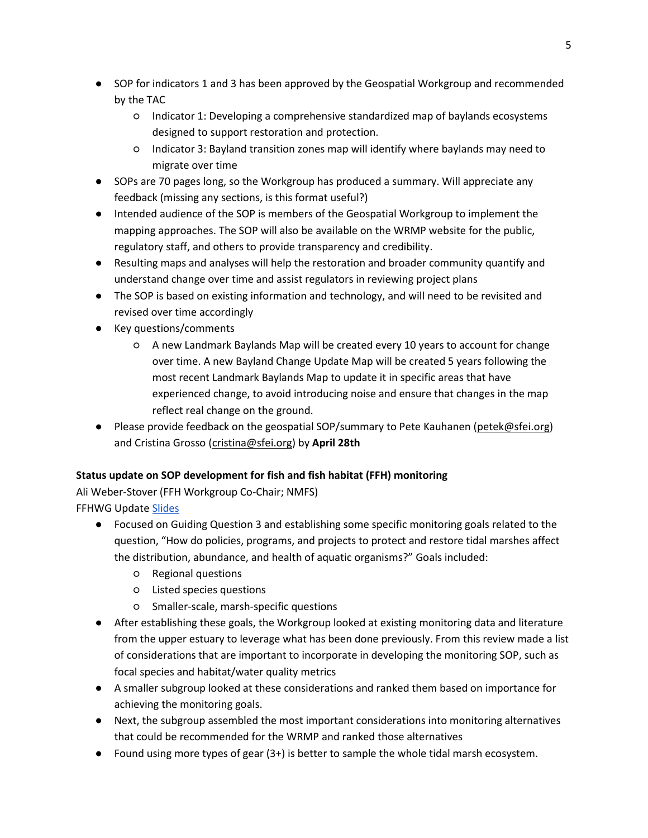- SOP for indicators 1 and 3 has been approved by the Geospatial Workgroup and recommended by the TAC
	- Indicator 1: Developing a comprehensive standardized map of baylands ecosystems designed to support restoration and protection.
	- Indicator 3: Bayland transition zones map will identify where baylands may need to migrate over time
- SOPs are 70 pages long, so the Workgroup has produced a summary. Will appreciate any feedback (missing any sections, is this format useful?)
- Intended audience of the SOP is members of the Geospatial Workgroup to implement the mapping approaches. The SOP will also be available on the WRMP website for the public, regulatory staff, and others to provide transparency and credibility.
- Resulting maps and analyses will help the restoration and broader community quantify and understand change over time and assist regulators in reviewing project plans
- The SOP is based on existing information and technology, and will need to be revisited and revised over time accordingly
- Key questions/comments
	- A new Landmark Baylands Map will be created every 10 years to account for change over time. A new Bayland Change Update Map will be created 5 years following the most recent Landmark Baylands Map to update it in specific areas that have experienced change, to avoid introducing noise and ensure that changes in the map reflect real change on the ground.
- Please provide feedback on the geospatial SOP/summary to Pete Kauhanen [\(petek@sfei.org\)](mailto:petek@sfei.org) and Cristina Grosso [\(cristina@sfei.org\)](mailto:cristina@sfei.org) by **April 28th**

## **Status update on SOP development for fish and fish habitat (FFH) monitoring**

Ali Weber-Stover (FFH Workgroup Co-Chair; NMFS) FFHWG Update [Slides](https://nam10.safelinks.protection.outlook.com/?url=https%3A%2F%2Fdocs.google.com%2Fpresentation%2Fd%2F1YDHHVQb-c_2Z4x3Ypc3I3oSRPRyUPo1s%2Fedit%3Fusp%3Dsharing%26ouid%3D116468166695144258716%26rtpof%3Dtrue%26sd%3Dtrue&data=04%7C01%7Ccarmen.zamora%40sfestuary.org%7C6d7ca4f3700d47bc050308da11ea23f2%7Cb084c4a0bb194142b70382ea65a5eeb2%7C0%7C0%7C637841996545915346%7CUnknown%7CTWFpbGZsb3d8eyJWIjoiMC4wLjAwMDAiLCJQIjoiV2luMzIiLCJBTiI6Ik1haWwiLCJXVCI6Mn0%3D%7C3000&sdata=i178GtnTksn1EOet4wyjKUWL3Yx3DsHHUBAgDDzp%2BcY%3D&reserved=0)

- Focused on Guiding Question 3 and establishing some specific monitoring goals related to the question, "How do policies, programs, and projects to protect and restore tidal marshes affect the distribution, abundance, and health of aquatic organisms?" Goals included:
	- Regional questions
	- Listed species questions
	- Smaller-scale, marsh-specific questions
- After establishing these goals, the Workgroup looked at existing monitoring data and literature from the upper estuary to leverage what has been done previously. From this review made a list of considerations that are important to incorporate in developing the monitoring SOP, such as focal species and habitat/water quality metrics
- A smaller subgroup looked at these considerations and ranked them based on importance for achieving the monitoring goals.
- Next, the subgroup assembled the most important considerations into monitoring alternatives that could be recommended for the WRMP and ranked those alternatives
- $\bullet$  Found using more types of gear  $(3+)$  is better to sample the whole tidal marsh ecosystem.